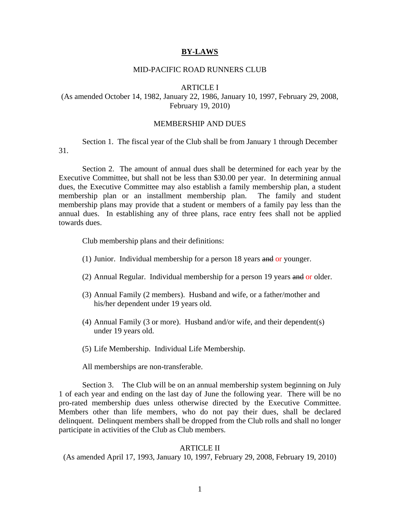### **BY-LAWS**

# MID-PACIFIC ROAD RUNNERS CLUB

# ARTICLE I

# (As amended October 14, 1982, January 22, 1986, January 10, 1997, February 29, 2008, February 19, 2010)

# MEMBERSHIP AND DUES

 Section 1. The fiscal year of the Club shall be from January 1 through December 31.

Section 2. The amount of annual dues shall be determined for each year by the Executive Committee, but shall not be less than \$30.00 per year. In determining annual dues, the Executive Committee may also establish a family membership plan, a student membership plan or an installment membership plan. The family and student membership plans may provide that a student or members of a family pay less than the annual dues. In establishing any of three plans, race entry fees shall not be applied towards dues.

Club membership plans and their definitions:

- (1) Junior. Individual membership for a person 18 years and or younger.
- (2) Annual Regular. Individual membership for a person 19 years and or older.
- (3) Annual Family (2 members). Husband and wife, or a father/mother and his/her dependent under 19 years old.
- (4) Annual Family (3 or more). Husband and/or wife, and their dependent(s) under 19 years old.
- (5) Life Membership. Individual Life Membership.

All memberships are non-transferable.

Section 3. The Club will be on an annual membership system beginning on July 1 of each year and ending on the last day of June the following year. There will be no pro-rated membership dues unless otherwise directed by the Executive Committee. Members other than life members, who do not pay their dues, shall be declared delinquent. Delinquent members shall be dropped from the Club rolls and shall no longer participate in activities of the Club as Club members.

## ARTICLE II

(As amended April 17, 1993, January 10, 1997, February 29, 2008, February 19, 2010)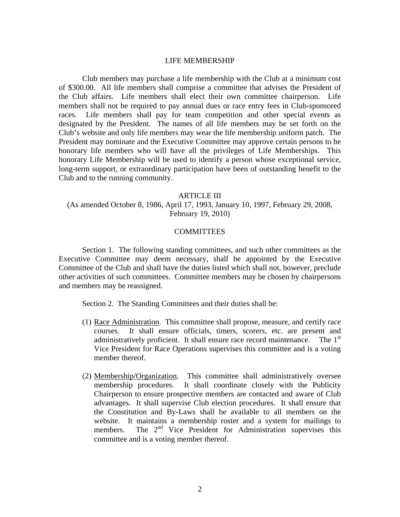### LIFE MEMBERSHIP

 Club members may purchase a life membership with the Club at a minimum cost of \$300.00. All life members shall comprise a committee that advises the President of the Club affairs. Life members shall elect their own committee chairperson. Life members shall not be required to pay annual dues or race entry fees in Club-sponsored races. Life members shall pay for team competition and other special events as designated by the President. The names of all life members may be set forth on the Club's website and only life members may wear the life membership uniform patch. The President may nominate and the Executive Committee may approve certain persons to be honorary life members who will have all the privileges of Life Memberships. This honorary Life Membership will be used to identify a person whose exceptional service, long-term support, or extraordinary participation have been of outstanding benefit to the Club and to the running community.

## ARTICLE III

(As amended October 8, 1986, April 17, 1993, January 10, 1997, February 29, 2008, February 19, 2010)

## **COMMITTEES**

 Section 1. The following standing committees, and such other committees as the Executive Committee may deem necessary, shall be appointed by the Executive Committee of the Club and shall have the duties listed which shall not, however, preclude other activities of such committees. Committee members may be chosen by chairpersons and members may be reassigned.

Section 2. The Standing Committees and their duties shall be:

- (1) Race Administration. This committee shall propose, measure, and certify race courses. It shall ensure officials, timers, scorers, etc. are present and administratively proficient. It shall ensure race record maintenance. The  $1<sup>st</sup>$ Vice President for Race Operations supervises this committee and is a voting member thereof.
- (2) Membership/Organization. This committee shall administratively oversee membership procedures. It shall coordinate closely with the Publicity Chairperson to ensure prospective members are contacted and aware of Club advantages. It shall supervise Club election procedures. It shall ensure that the Constitution and By-Laws shall be available to all members on the website. It maintains a membership roster and a system for mailings to members. The 2<sup>nd</sup> Vice President for Administration supervises this committee and is a voting member thereof.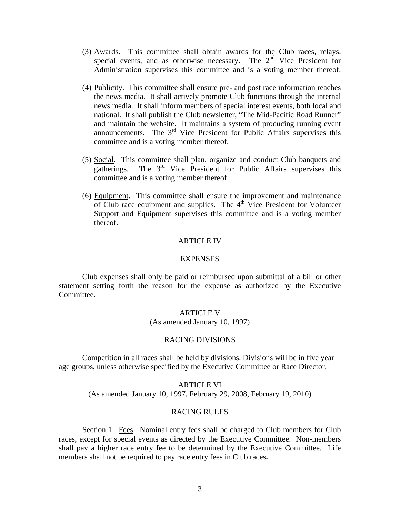- (3) Awards. This committee shall obtain awards for the Club races, relays, special events, and as otherwise necessary. The 2<sup>nd</sup> Vice President for Administration supervises this committee and is a voting member thereof.
- (4) Publicity. This committee shall ensure pre- and post race information reaches the news media. It shall actively promote Club functions through the internal news media. It shall inform members of special interest events, both local and national. It shall publish the Club newsletter, "The Mid-Pacific Road Runner" and maintain the website. It maintains a system of producing running event announcements. The  $3<sup>rd</sup>$  Vice President for Public Affairs supervises this committee and is a voting member thereof.
- (5) Social. This committee shall plan, organize and conduct Club banquets and gatherings. The 3<sup>rd</sup> Vice President for Public Affairs supervises this committee and is a voting member thereof.
- (6) Equipment. This committee shall ensure the improvement and maintenance of Club race equipment and supplies. The  $4<sup>th</sup>$  Vice President for Volunteer Support and Equipment supervises this committee and is a voting member thereof.

# ARTICLE IV

#### **EXPENSES**

 Club expenses shall only be paid or reimbursed upon submittal of a bill or other statement setting forth the reason for the expense as authorized by the Executive Committee.

### ARTICLE V

(As amended January 10, 1997)

# RACING DIVISIONS

 Competition in all races shall be held by divisions. Divisions will be in five year age groups, unless otherwise specified by the Executive Committee or Race Director.

### ARTICLE VI

(As amended January 10, 1997, February 29, 2008, February 19, 2010)

### RACING RULES

 Section 1. Fees. Nominal entry fees shall be charged to Club members for Club races, except for special events as directed by the Executive Committee. Non-members shall pay a higher race entry fee to be determined by the Executive Committee. Life members shall not be required to pay race entry fees in Club races**.**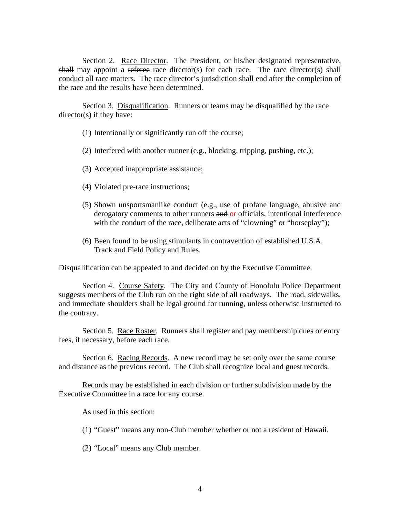Section 2. Race Director. The President, or his/her designated representative, shall may appoint a referee race director(s) for each race. The race director(s) shall conduct all race matters. The race director's jurisdiction shall end after the completion of the race and the results have been determined.

 Section 3. Disqualification. Runners or teams may be disqualified by the race director(s) if they have:

- (1) Intentionally or significantly run off the course;
- (2) Interfered with another runner (e.g., blocking, tripping, pushing, etc.);
- (3) Accepted inappropriate assistance;
- (4) Violated pre-race instructions;
- (5) Shown unsportsmanlike conduct (e.g., use of profane language, abusive and derogatory comments to other runners and or officials, intentional interference with the conduct of the race, deliberate acts of "clowning" or "horseplay");
- (6) Been found to be using stimulants in contravention of established U.S.A. Track and Field Policy and Rules.

Disqualification can be appealed to and decided on by the Executive Committee.

Section 4. Course Safety. The City and County of Honolulu Police Department suggests members of the Club run on the right side of all roadways. The road, sidewalks, and immediate shoulders shall be legal ground for running, unless otherwise instructed to the contrary.

Section 5. Race Roster. Runners shall register and pay membership dues or entry fees, if necessary, before each race.

Section 6. Racing Records. A new record may be set only over the same course and distance as the previous record. The Club shall recognize local and guest records.

Records may be established in each division or further subdivision made by the Executive Committee in a race for any course.

As used in this section:

(1) "Guest" means any non-Club member whether or not a resident of Hawaii.

(2) "Local" means any Club member.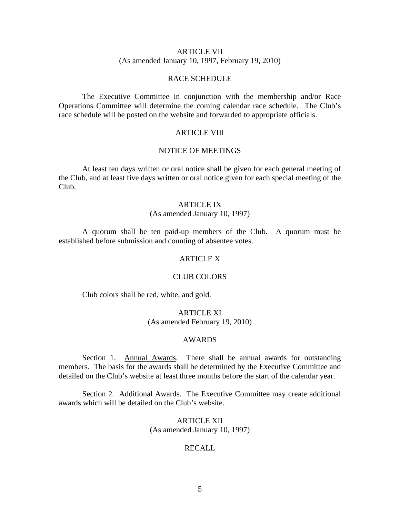# ARTICLE VII (As amended January 10, 1997, February 19, 2010)

# RACE SCHEDULE

 The Executive Committee in conjunction with the membership and/or Race Operations Committee will determine the coming calendar race schedule. The Club's race schedule will be posted on the website and forwarded to appropriate officials.

# ARTICLE VIII

# NOTICE OF MEETINGS

 At least ten days written or oral notice shall be given for each general meeting of the Club, and at least five days written or oral notice given for each special meeting of the Club.

#### ARTICLE IX

## (As amended January 10, 1997)

 A quorum shall be ten paid-up members of the Club. A quorum must be established before submission and counting of absentee votes.

### ARTICLE X

# CLUB COLORS

Club colors shall be red, white, and gold.

# ARTICLE XI (As amended February 19, 2010)

# AWARDS

 Section 1. Annual Awards. There shall be annual awards for outstanding members. The basis for the awards shall be determined by the Executive Committee and detailed on the Club's website at least three months before the start of the calendar year.

Section 2. Additional Awards. The Executive Committee may create additional awards which will be detailed on the Club's website.

> ARTICLE XII (As amended January 10, 1997)

## RECALL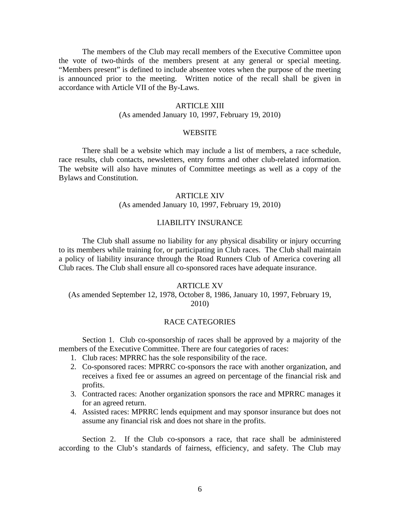The members of the Club may recall members of the Executive Committee upon the vote of two-thirds of the members present at any general or special meeting. "Members present" is defined to include absentee votes when the purpose of the meeting is announced prior to the meeting.Written notice of the recall shall be given in accordance with Article VII of the By-Laws.

#### ARTICLE XIII

# (As amended January 10, 1997, February 19, 2010)

### **WEBSITE**

 There shall be a website which may include a list of members, a race schedule, race results, club contacts, newsletters, entry forms and other club-related information. The website will also have minutes of Committee meetings as well as a copy of the Bylaws and Constitution.

## ARTICLE XIV

# (As amended January 10, 1997, February 19, 2010)

## LIABILITY INSURANCE

 The Club shall assume no liability for any physical disability or injury occurring to its members while training for, or participating in Club races. The Club shall maintain a policy of liability insurance through the Road Runners Club of America covering all Club races. The Club shall ensure all co-sponsored races have adequate insurance.

#### ARTICLE XV

# (As amended September 12, 1978, October 8, 1986, January 10, 1997, February 19, 2010)

#### RACE CATEGORIES

 Section 1. Club co-sponsorship of races shall be approved by a majority of the members of the Executive Committee. There are four categories of races:

- 1. Club races: MPRRC has the sole responsibility of the race.
- 2. Co-sponsored races: MPRRC co-sponsors the race with another organization, and receives a fixed fee or assumes an agreed on percentage of the financial risk and profits.
- 3. Contracted races: Another organization sponsors the race and MPRRC manages it for an agreed return.
- 4. Assisted races: MPRRC lends equipment and may sponsor insurance but does not assume any financial risk and does not share in the profits.

 Section 2. If the Club co-sponsors a race, that race shall be administered according to the Club's standards of fairness, efficiency, and safety. The Club may